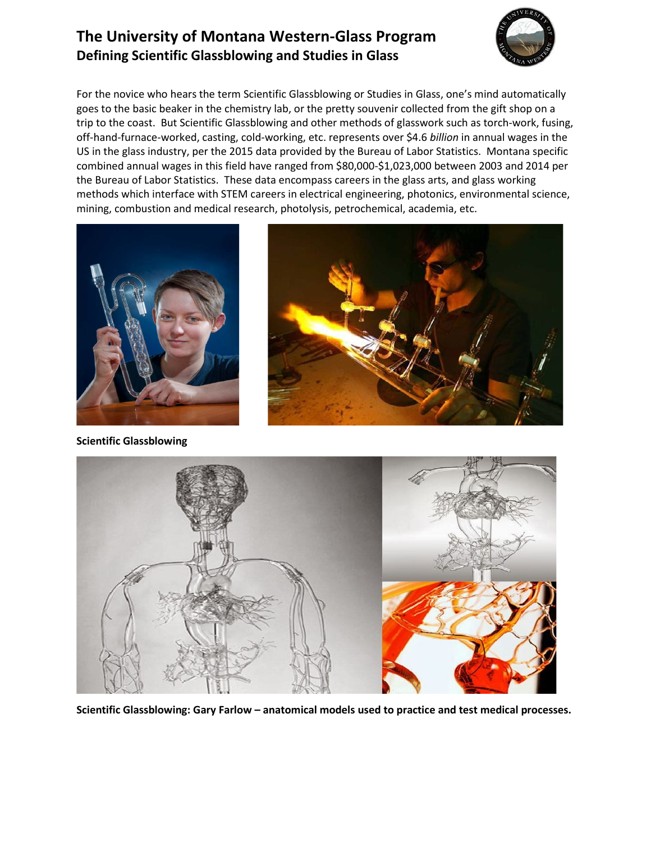## **The University of Montana Western-Glass Program Defining Scientific Glassblowing and Studies in Glass**



For the novice who hears the term Scientific Glassblowing or Studies in Glass, one's mind automatically goes to the basic beaker in the chemistry lab, or the pretty souvenir collected from the gift shop on a trip to the coast. But Scientific Glassblowing and other methods of glasswork such as torch-work, fusing, off-hand-furnace-worked, casting, cold-working, etc. represents over \$4.6 *billion* in annual wages in the US in the glass industry, per the 2015 data provided by the Bureau of Labor Statistics. Montana specific combined annual wages in this field have ranged from \$80,000-\$1,023,000 between 2003 and 2014 per the Bureau of Labor Statistics. These data encompass careers in the glass arts, and glass working methods which interface with STEM careers in electrical engineering, photonics, environmental science, mining, combustion and medical research, photolysis, petrochemical, academia, etc.



**Scientific Glassblowing**





**Scientific Glassblowing: Gary Farlow – anatomical models used to practice and test medical processes.**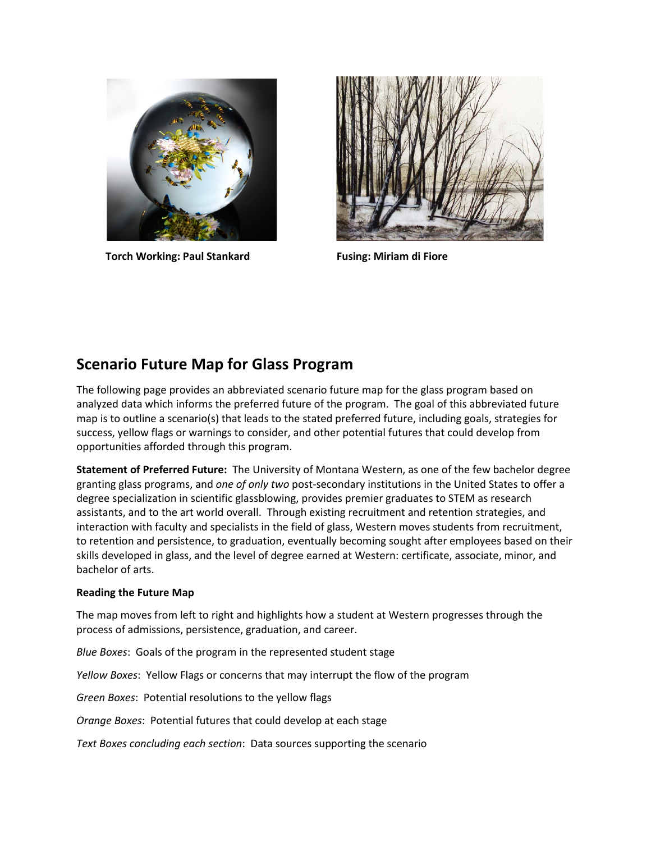

Torch Working: Paul Stankard **Fusing: Miriam di Fiore** 



### **Scenario Future Map for Glass Program**

The following page provides an abbreviated scenario future map for the glass program based on analyzed data which informs the preferred future of the program. The goal of this abbreviated future map is to outline a scenario(s) that leads to the stated preferred future, including goals, strategies for success, yellow flags or warnings to consider, and other potential futures that could develop from opportunities afforded through this program.

**Statement of Preferred Future:** The University of Montana Western, as one of the few bachelor degree granting glass programs, and *one of only two* post-secondary institutions in the United States to offer a degree specialization in scientific glassblowing, provides premier graduates to STEM as research assistants, and to the art world overall. Through existing recruitment and retention strategies, and interaction with faculty and specialists in the field of glass, Western moves students from recruitment, to retention and persistence, to graduation, eventually becoming sought after employees based on their skills developed in glass, and the level of degree earned at Western: certificate, associate, minor, and bachelor of arts.

#### **Reading the Future Map**

The map moves from left to right and highlights how a student at Western progresses through the process of admissions, persistence, graduation, and career.

*Blue Boxes*: Goals of the program in the represented student stage

*Yellow Boxes*: Yellow Flags or concerns that may interrupt the flow of the program

*Green Boxes*: Potential resolutions to the yellow flags

*Orange Boxes*: Potential futures that could develop at each stage

*Text Boxes concluding each section*: Data sources supporting the scenario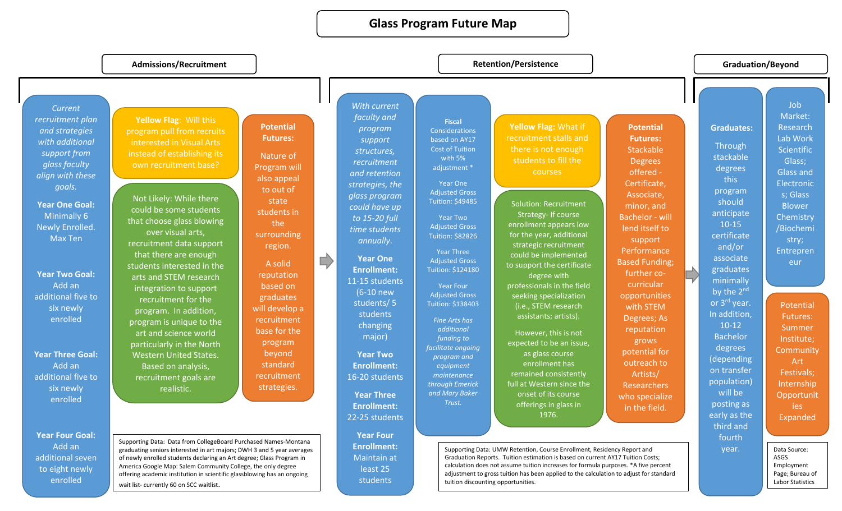### **Glass Program Future Map**